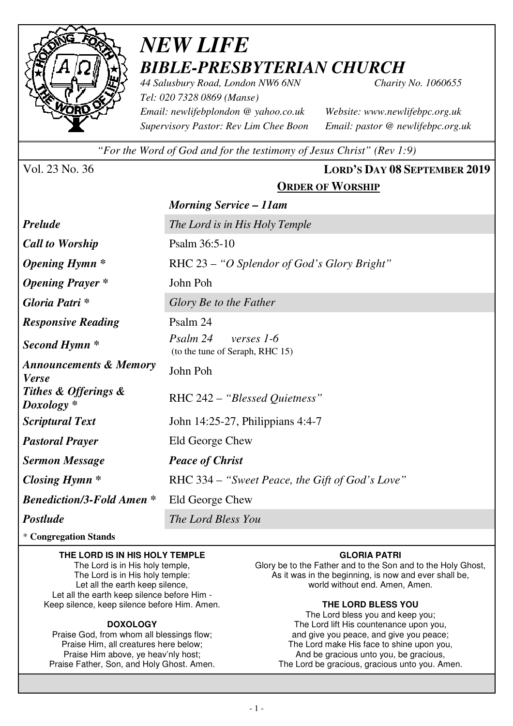

# *NEW LIFE BIBLE-PRESBYTERIAN CHURCH*

*44 Salusbury Road, London NW6 6NN Charity No. 1060655 Tel: 020 7328 0869 (Manse) Email: newlifebplondon @ yahoo.co.uk Website: www.newlifebpc.org.uk Supervisory Pastor: Rev Lim Chee Boon Email: pastor @ newlifebpc.org.uk* 

*"For the Word of God and for the testimony of Jesus Christ" (Rev 1:9)*

### Vol. 23 No. 36 **LORD'S DAY 08 SEPTEMBER 2019 ORDER OF WORSHIP**

|                                                   | <b>Morning Service – 11am</b>                             |  |  |
|---------------------------------------------------|-----------------------------------------------------------|--|--|
| <b>Prelude</b>                                    | The Lord is in His Holy Temple                            |  |  |
| <b>Call to Worship</b>                            | Psalm 36:5-10                                             |  |  |
| <b>Opening Hymn</b> *                             | RHC 23 – "O Splendor of God's Glory Bright"               |  |  |
| <b>Opening Prayer</b> *                           | John Poh                                                  |  |  |
| Gloria Patri *                                    | Glory Be to the Father                                    |  |  |
| <b>Responsive Reading</b>                         | Psalm 24                                                  |  |  |
| Second Hymn *                                     | Psalm 24<br>verses 1-6<br>(to the tune of Seraph, RHC 15) |  |  |
| <b>Announcements &amp; Memory</b><br><b>Verse</b> | John Poh                                                  |  |  |
| Tithes & Offerings &<br>$Doxology *$              | RHC 242 – "Blessed Quietness"                             |  |  |
| <b>Scriptural Text</b>                            | John 14:25-27, Philippians 4:4-7                          |  |  |
| <b>Pastoral Prayer</b>                            | Eld George Chew                                           |  |  |
| <b>Sermon Message</b>                             | <b>Peace of Christ</b>                                    |  |  |
| <b>Closing Hymn</b> *                             | RHC 334 – "Sweet Peace, the Gift of God's Love"           |  |  |
| <b>Benediction/3-Fold Amen*</b>                   | Eld George Chew                                           |  |  |
| <b>Postlude</b>                                   | The Lord Bless You                                        |  |  |

\* **Congregation Stands** 

#### **THE LORD IS IN HIS HOLY TEMPLE**

The Lord is in His holy temple, The Lord is in His holy temple: Let all the earth keep silence, Let all the earth keep silence before Him - Keep silence, keep silence before Him. Amen.

#### **DOXOLOGY**

Praise God, from whom all blessings flow; Praise Him, all creatures here below; Praise Him above, ye heav'nly host; Praise Father, Son, and Holy Ghost. Amen.

#### **GLORIA PATRI**

Glory be to the Father and to the Son and to the Holy Ghost, As it was in the beginning, is now and ever shall be, world without end. Amen, Amen.

#### **THE LORD BLESS YOU**

The Lord bless you and keep you; The Lord lift His countenance upon you, and give you peace, and give you peace; The Lord make His face to shine upon you, And be gracious unto you, be gracious, The Lord be gracious, gracious unto you. Amen.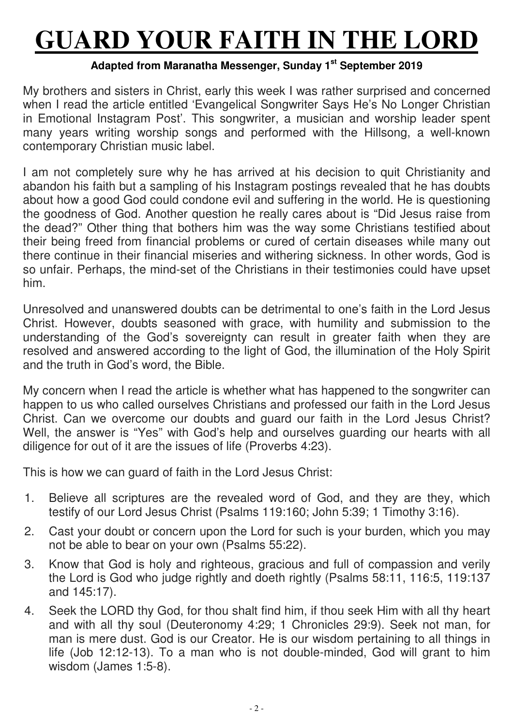# **GUARD YOUR FAITH IN THE LORD**

## **Adapted from Maranatha Messenger, Sunday 1st September 2019**

My brothers and sisters in Christ, early this week I was rather surprised and concerned when I read the article entitled 'Evangelical Songwriter Says He's No Longer Christian in Emotional Instagram Post'. This songwriter, a musician and worship leader spent many years writing worship songs and performed with the Hillsong, a well-known contemporary Christian music label.

I am not completely sure why he has arrived at his decision to quit Christianity and abandon his faith but a sampling of his Instagram postings revealed that he has doubts about how a good God could condone evil and suffering in the world. He is questioning the goodness of God. Another question he really cares about is "Did Jesus raise from the dead?" Other thing that bothers him was the way some Christians testified about their being freed from financial problems or cured of certain diseases while many out there continue in their financial miseries and withering sickness. In other words, God is so unfair. Perhaps, the mind-set of the Christians in their testimonies could have upset him.

Unresolved and unanswered doubts can be detrimental to one's faith in the Lord Jesus Christ. However, doubts seasoned with grace, with humility and submission to the understanding of the God's sovereignty can result in greater faith when they are resolved and answered according to the light of God, the illumination of the Holy Spirit and the truth in God's word, the Bible.

My concern when I read the article is whether what has happened to the songwriter can happen to us who called ourselves Christians and professed our faith in the Lord Jesus Christ. Can we overcome our doubts and guard our faith in the Lord Jesus Christ? Well, the answer is "Yes" with God's help and ourselves guarding our hearts with all diligence for out of it are the issues of life (Proverbs 4:23).

This is how we can guard of faith in the Lord Jesus Christ:

- 1. Believe all scriptures are the revealed word of God, and they are they, which testify of our Lord Jesus Christ (Psalms 119:160; John 5:39; 1 Timothy 3:16).
- 2. Cast your doubt or concern upon the Lord for such is your burden, which you may not be able to bear on your own (Psalms 55:22).
- 3. Know that God is holy and righteous, gracious and full of compassion and verily the Lord is God who judge rightly and doeth rightly (Psalms 58:11, 116:5, 119:137 and 145:17).
- 4. Seek the LORD thy God, for thou shalt find him, if thou seek Him with all thy heart and with all thy soul (Deuteronomy 4:29; 1 Chronicles 29:9). Seek not man, for man is mere dust. God is our Creator. He is our wisdom pertaining to all things in life (Job 12:12-13). To a man who is not double-minded, God will grant to him wisdom (James 1:5-8).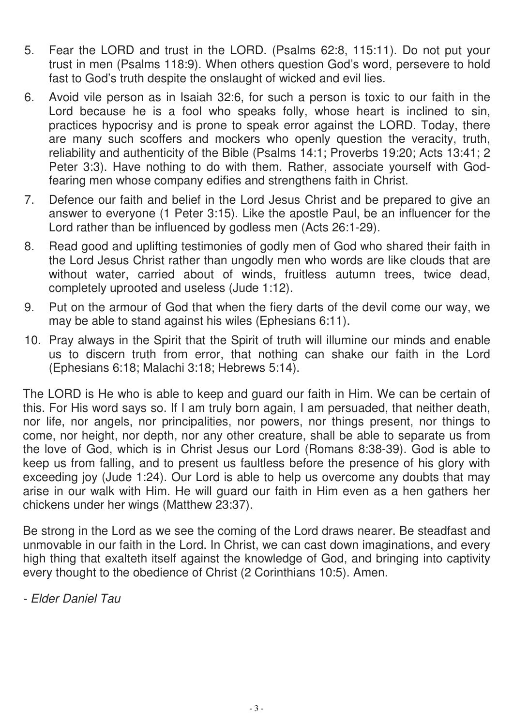- 5. Fear the LORD and trust in the LORD. (Psalms 62:8, 115:11). Do not put your trust in men (Psalms 118:9). When others question God's word, persevere to hold fast to God's truth despite the onslaught of wicked and evil lies.
- 6. Avoid vile person as in Isaiah 32:6, for such a person is toxic to our faith in the Lord because he is a fool who speaks folly, whose heart is inclined to sin, practices hypocrisy and is prone to speak error against the LORD. Today, there are many such scoffers and mockers who openly question the veracity, truth, reliability and authenticity of the Bible (Psalms 14:1; Proverbs 19:20; Acts 13:41; 2 Peter 3:3). Have nothing to do with them. Rather, associate yourself with Godfearing men whose company edifies and strengthens faith in Christ.
- 7. Defence our faith and belief in the Lord Jesus Christ and be prepared to give an answer to everyone (1 Peter 3:15). Like the apostle Paul, be an influencer for the Lord rather than be influenced by godless men (Acts 26:1-29).
- 8. Read good and uplifting testimonies of godly men of God who shared their faith in the Lord Jesus Christ rather than ungodly men who words are like clouds that are without water, carried about of winds, fruitless autumn trees, twice dead, completely uprooted and useless (Jude 1:12).
- 9. Put on the armour of God that when the fiery darts of the devil come our way, we may be able to stand against his wiles (Ephesians 6:11).
- 10. Pray always in the Spirit that the Spirit of truth will illumine our minds and enable us to discern truth from error, that nothing can shake our faith in the Lord (Ephesians 6:18; Malachi 3:18; Hebrews 5:14).

The LORD is He who is able to keep and guard our faith in Him. We can be certain of this. For His word says so. If I am truly born again, I am persuaded, that neither death, nor life, nor angels, nor principalities, nor powers, nor things present, nor things to come, nor height, nor depth, nor any other creature, shall be able to separate us from the love of God, which is in Christ Jesus our Lord (Romans 8:38-39). God is able to keep us from falling, and to present us faultless before the presence of his glory with exceeding joy (Jude 1:24). Our Lord is able to help us overcome any doubts that may arise in our walk with Him. He will guard our faith in Him even as a hen gathers her chickens under her wings (Matthew 23:37).

Be strong in the Lord as we see the coming of the Lord draws nearer. Be steadfast and unmovable in our faith in the Lord. In Christ, we can cast down imaginations, and every high thing that exalteth itself against the knowledge of God, and bringing into captivity every thought to the obedience of Christ (2 Corinthians 10:5). Amen.

- Elder Daniel Tau